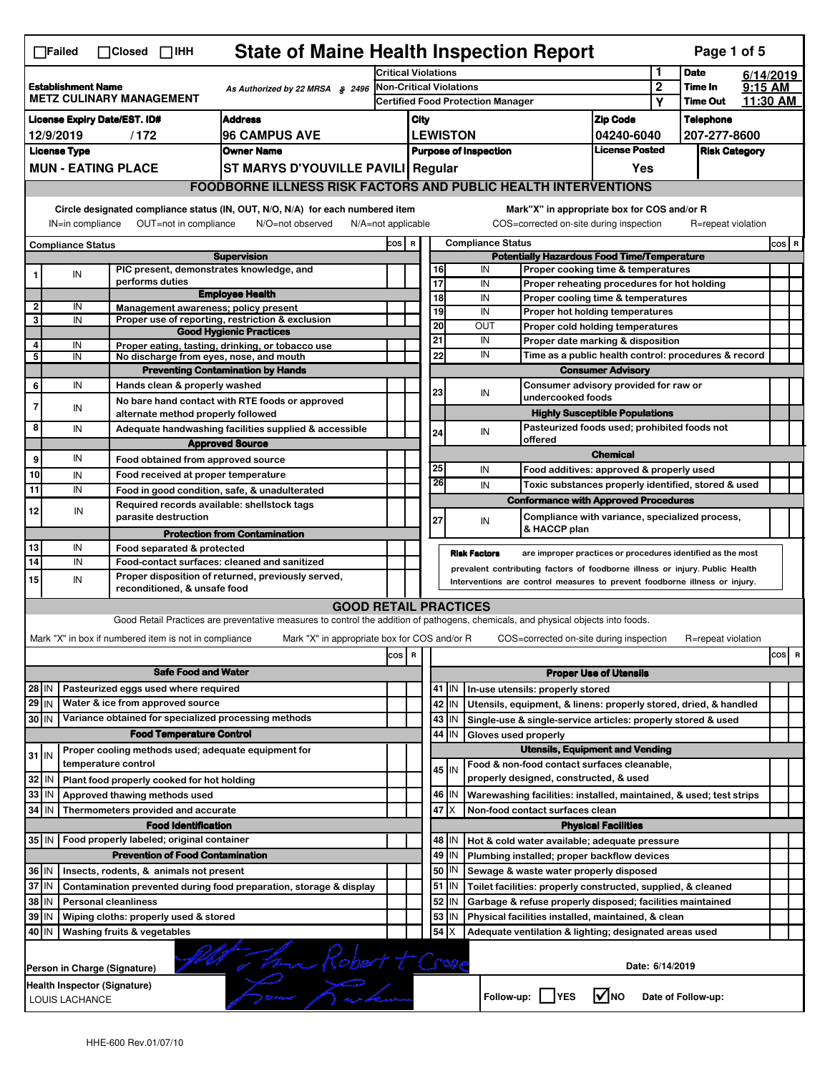|                                                                                                           | <b>State of Maine Health Inspection Report</b><br>Page 1 of 5<br>∏Failed<br>$\Box$ Closed $\Box$ IHH                                                                      |                     |  |                                                                     |                                                                                                                                   |       |                               |                                                              |         |                                                                                                                                                            |                                       |                       |                    |  |         |   |
|-----------------------------------------------------------------------------------------------------------|---------------------------------------------------------------------------------------------------------------------------------------------------------------------------|---------------------|--|---------------------------------------------------------------------|-----------------------------------------------------------------------------------------------------------------------------------|-------|-------------------------------|--------------------------------------------------------------|---------|------------------------------------------------------------------------------------------------------------------------------------------------------------|---------------------------------------|-----------------------|--------------------|--|---------|---|
|                                                                                                           |                                                                                                                                                                           |                     |  |                                                                     | <b>Critical Violations</b>                                                                                                        |       |                               |                                                              |         |                                                                                                                                                            |                                       | <b>Date</b>           | 6/14/2019          |  |         |   |
| <b>Establishment Name</b><br>As Authorized by 22 MRSA $$2496$<br><b>METZ CULINARY MANAGEMENT</b>          |                                                                                                                                                                           |                     |  | Non-Critical Violations<br><b>Certified Food Protection Manager</b> |                                                                                                                                   |       |                               |                                                              |         | $\boldsymbol{2}$                                                                                                                                           | Time In<br><b>Time Out</b>            | $9:15$ AM<br>11:30 AM |                    |  |         |   |
|                                                                                                           |                                                                                                                                                                           |                     |  |                                                                     |                                                                                                                                   |       |                               |                                                              |         |                                                                                                                                                            | Υ                                     |                       |                    |  |         |   |
| <b>License Expiry Date/EST. ID#</b><br><b>Address</b>                                                     |                                                                                                                                                                           |                     |  |                                                                     |                                                                                                                                   | City  |                               |                                                              |         | <b>Zip Code</b>                                                                                                                                            |                                       | <b>Telephone</b>      |                    |  |         |   |
| <b>96 CAMPUS AVE</b><br>12/9/2019<br>/172                                                                 |                                                                                                                                                                           |                     |  |                                                                     |                                                                                                                                   |       |                               | <b>LEWISTON</b>                                              |         | 04240-6040<br><b>License Posted</b>                                                                                                                        |                                       | 207-277-8600          |                    |  |         |   |
| <b>License Type</b><br><b>Owner Name</b><br><b>MUN - EATING PLACE</b>                                     |                                                                                                                                                                           |                     |  |                                                                     |                                                                                                                                   |       |                               | <b>Purpose of Inspection</b>                                 | Yes     |                                                                                                                                                            | <b>Risk Category</b>                  |                       |                    |  |         |   |
|                                                                                                           |                                                                                                                                                                           |                     |  |                                                                     | ST MARYS D'YOUVILLE PAVILI Regular<br><b>FOODBORNE ILLNESS RISK FACTORS AND PUBLIC HEALTH INTERVENTIONS</b>                       |       |                               |                                                              |         |                                                                                                                                                            |                                       |                       |                    |  |         |   |
|                                                                                                           |                                                                                                                                                                           |                     |  |                                                                     |                                                                                                                                   |       |                               |                                                              |         |                                                                                                                                                            |                                       |                       |                    |  |         |   |
|                                                                                                           | Circle designated compliance status (IN, OUT, N/O, N/A) for each numbered item<br>OUT=not in compliance<br>IN=in compliance<br>N/O=not observed<br>$N/A = not$ applicable |                     |  |                                                                     |                                                                                                                                   |       |                               |                                                              |         | Mark"X" in appropriate box for COS and/or R<br>COS=corrected on-site during inspection                                                                     |                                       |                       | R=repeat violation |  |         |   |
|                                                                                                           | <b>Compliance Status</b>                                                                                                                                                  |                     |  |                                                                     |                                                                                                                                   | COS R |                               |                                                              |         | <b>Compliance Status</b>                                                                                                                                   |                                       |                       |                    |  | $cos$ R |   |
|                                                                                                           |                                                                                                                                                                           |                     |  |                                                                     | <b>Supervision</b><br>PIC present, demonstrates knowledge, and                                                                    |       |                               | 16                                                           |         | <b>Potentially Hazardous Food Time/Temperature</b><br>IN                                                                                                   |                                       |                       |                    |  |         |   |
| 1                                                                                                         | IN                                                                                                                                                                        |                     |  | performs duties                                                     |                                                                                                                                   |       |                               | 17                                                           |         | Proper cooking time & temperatures<br>IN<br>Proper reheating procedures for hot holding                                                                    |                                       |                       |                    |  |         |   |
|                                                                                                           |                                                                                                                                                                           |                     |  |                                                                     | <b>Employee Health</b>                                                                                                            |       |                               | 18                                                           |         | IN<br>Proper cooling time & temperatures                                                                                                                   |                                       |                       |                    |  |         |   |
| $\overline{2}$                                                                                            | IN                                                                                                                                                                        |                     |  |                                                                     | Management awareness; policy present                                                                                              |       |                               | 19                                                           |         | IN<br>Proper hot holding temperatures                                                                                                                      |                                       |                       |                    |  |         |   |
| 3                                                                                                         | IN                                                                                                                                                                        |                     |  |                                                                     | Proper use of reporting, restriction & exclusion<br><b>Good Hygienic Practices</b>                                                |       |                               | 20                                                           |         | <b>OUT</b><br>Proper cold holding temperatures                                                                                                             |                                       |                       |                    |  |         |   |
| 4                                                                                                         | IN                                                                                                                                                                        |                     |  |                                                                     | Proper eating, tasting, drinking, or tobacco use                                                                                  |       |                               | 21                                                           |         | IN<br>Proper date marking & disposition                                                                                                                    |                                       |                       |                    |  |         |   |
| 5                                                                                                         | IN                                                                                                                                                                        |                     |  |                                                                     | No discharge from eyes, nose, and mouth                                                                                           |       |                               | 22                                                           |         | IN<br>Time as a public health control: procedures & record                                                                                                 |                                       |                       |                    |  |         |   |
|                                                                                                           |                                                                                                                                                                           |                     |  |                                                                     | <b>Preventing Contamination by Hands</b>                                                                                          |       |                               |                                                              |         |                                                                                                                                                            | <b>Consumer Advisory</b>              |                       |                    |  |         |   |
| 6                                                                                                         | IN                                                                                                                                                                        |                     |  | Hands clean & properly washed                                       |                                                                                                                                   |       |                               | 23                                                           |         | Consumer advisory provided for raw or<br>IN                                                                                                                |                                       |                       |                    |  |         |   |
| $\overline{7}$                                                                                            | IN                                                                                                                                                                        |                     |  |                                                                     | No bare hand contact with RTE foods or approved                                                                                   |       |                               |                                                              |         | undercooked foods                                                                                                                                          |                                       |                       |                    |  |         |   |
|                                                                                                           |                                                                                                                                                                           |                     |  | alternate method properly followed                                  |                                                                                                                                   |       |                               |                                                              |         |                                                                                                                                                            | <b>Highly Susceptible Populations</b> |                       |                    |  |         |   |
| 8                                                                                                         | IN                                                                                                                                                                        |                     |  |                                                                     | Adequate handwashing facilities supplied & accessible                                                                             |       |                               | 24                                                           |         | Pasteurized foods used; prohibited foods not<br>IN<br>offered                                                                                              |                                       |                       |                    |  |         |   |
|                                                                                                           | IN                                                                                                                                                                        |                     |  |                                                                     | <b>Approved Source</b>                                                                                                            |       |                               |                                                              |         |                                                                                                                                                            | <b>Chemical</b>                       |                       |                    |  |         |   |
| 9                                                                                                         |                                                                                                                                                                           |                     |  |                                                                     | Food obtained from approved source                                                                                                |       |                               | 25                                                           |         | IN<br>Food additives: approved & properly used                                                                                                             |                                       |                       |                    |  |         |   |
| 10                                                                                                        | IN                                                                                                                                                                        |                     |  |                                                                     | Food received at proper temperature                                                                                               |       |                               | 26                                                           |         | IN<br>Toxic substances properly identified, stored & used                                                                                                  |                                       |                       |                    |  |         |   |
| 11                                                                                                        | IN                                                                                                                                                                        |                     |  |                                                                     | Food in good condition, safe, & unadulterated                                                                                     |       |                               |                                                              |         | <b>Conformance with Approved Procedures</b>                                                                                                                |                                       |                       |                    |  |         |   |
| 12                                                                                                        | IN                                                                                                                                                                        |                     |  | parasite destruction                                                | Required records available: shellstock tags                                                                                       |       |                               |                                                              |         | Compliance with variance, specialized process,                                                                                                             |                                       |                       |                    |  |         |   |
|                                                                                                           |                                                                                                                                                                           |                     |  |                                                                     | <b>Protection from Contamination</b>                                                                                              |       |                               | 27                                                           |         | IN<br>& HACCP plan                                                                                                                                         |                                       |                       |                    |  |         |   |
| 13                                                                                                        | IN                                                                                                                                                                        |                     |  | Food separated & protected                                          |                                                                                                                                   |       |                               |                                                              |         |                                                                                                                                                            |                                       |                       |                    |  |         |   |
| 14                                                                                                        | IN                                                                                                                                                                        |                     |  |                                                                     | Food-contact surfaces: cleaned and sanitized                                                                                      |       |                               |                                                              |         | <b>Risk Factors</b><br>are improper practices or procedures identified as the most                                                                         |                                       |                       |                    |  |         |   |
| 15                                                                                                        | IN                                                                                                                                                                        |                     |  |                                                                     | Proper disposition of returned, previously served,                                                                                |       |                               |                                                              |         | prevalent contributing factors of foodborne illness or injury. Public Health<br>Interventions are control measures to prevent foodborne illness or injury. |                                       |                       |                    |  |         |   |
| reconditioned, & unsafe food                                                                              |                                                                                                                                                                           |                     |  |                                                                     |                                                                                                                                   |       |                               |                                                              |         |                                                                                                                                                            |                                       |                       |                    |  |         |   |
|                                                                                                           | <b>GOOD RETAIL PRACTICES</b>                                                                                                                                              |                     |  |                                                                     |                                                                                                                                   |       |                               |                                                              |         |                                                                                                                                                            |                                       |                       |                    |  |         |   |
|                                                                                                           |                                                                                                                                                                           |                     |  |                                                                     | Good Retail Practices are preventative measures to control the addition of pathogens, chemicals, and physical objects into foods. |       |                               |                                                              |         |                                                                                                                                                            |                                       |                       |                    |  |         |   |
|                                                                                                           |                                                                                                                                                                           |                     |  | Mark "X" in box if numbered item is not in compliance               | Mark "X" in appropriate box for COS and/or R                                                                                      |       |                               |                                                              |         | COS=corrected on-site during inspection                                                                                                                    |                                       |                       | R=repeat violation |  |         |   |
|                                                                                                           |                                                                                                                                                                           |                     |  |                                                                     |                                                                                                                                   | cos   | $\,$ R                        |                                                              |         |                                                                                                                                                            |                                       |                       |                    |  | cos     | R |
|                                                                                                           |                                                                                                                                                                           |                     |  | <b>Safe Food and Water</b>                                          |                                                                                                                                   |       | <b>Proper Use of Utensils</b> |                                                              |         |                                                                                                                                                            |                                       |                       |                    |  |         |   |
| 28 IN                                                                                                     |                                                                                                                                                                           |                     |  | Pasteurized eggs used where required                                |                                                                                                                                   |       |                               |                                                              | 41 J IN | In-use utensils: properly stored                                                                                                                           |                                       |                       |                    |  |         |   |
| $29$ IN                                                                                                   |                                                                                                                                                                           |                     |  | Water & ice from approved source                                    |                                                                                                                                   |       |                               | 42                                                           | IN      | Utensils, equipment, & linens: properly stored, dried, & handled                                                                                           |                                       |                       |                    |  |         |   |
| 30 IN                                                                                                     |                                                                                                                                                                           |                     |  |                                                                     | Variance obtained for specialized processing methods                                                                              |       |                               |                                                              | 43   IN | Single-use & single-service articles: properly stored & used                                                                                               |                                       |                       |                    |  |         |   |
|                                                                                                           |                                                                                                                                                                           |                     |  | <b>Food Temperature Control</b>                                     |                                                                                                                                   |       |                               |                                                              | 44 IN   | Gloves used properly                                                                                                                                       |                                       |                       |                    |  |         |   |
| $31$ IN                                                                                                   |                                                                                                                                                                           |                     |  |                                                                     | Proper cooling methods used; adequate equipment for                                                                               |       |                               |                                                              |         | <b>Utensils, Equipment and Vending</b>                                                                                                                     |                                       |                       |                    |  |         |   |
|                                                                                                           |                                                                                                                                                                           | temperature control |  |                                                                     |                                                                                                                                   |       |                               |                                                              | $45$ IN | Food & non-food contact surfaces cleanable,                                                                                                                |                                       |                       |                    |  |         |   |
| 32                                                                                                        | l IN                                                                                                                                                                      |                     |  | Plant food properly cooked for hot holding                          |                                                                                                                                   |       |                               |                                                              |         | properly designed, constructed, & used                                                                                                                     |                                       |                       |                    |  |         |   |
| 33                                                                                                        | l IN                                                                                                                                                                      |                     |  | Approved thawing methods used                                       |                                                                                                                                   |       |                               |                                                              | 46 IN   | Warewashing facilities: installed, maintained, & used; test strips                                                                                         |                                       |                       |                    |  |         |   |
| 34                                                                                                        | IN                                                                                                                                                                        |                     |  | Thermometers provided and accurate                                  |                                                                                                                                   |       |                               | 47                                                           | ΙX      | Non-food contact surfaces clean                                                                                                                            |                                       |                       |                    |  |         |   |
|                                                                                                           |                                                                                                                                                                           |                     |  | <b>Food Identification</b>                                          |                                                                                                                                   |       |                               |                                                              |         |                                                                                                                                                            | <b>Physical Facilities</b>            |                       |                    |  |         |   |
|                                                                                                           |                                                                                                                                                                           |                     |  | 35 IN   Food properly labeled; original container                   |                                                                                                                                   |       |                               |                                                              | 48   IN | Hot & cold water available; adequate pressure                                                                                                              |                                       |                       |                    |  |         |   |
|                                                                                                           |                                                                                                                                                                           |                     |  | <b>Prevention of Food Contamination</b>                             |                                                                                                                                   |       |                               |                                                              | 49 IN   | Plumbing installed; proper backflow devices                                                                                                                |                                       |                       |                    |  |         |   |
| 36 IN                                                                                                     |                                                                                                                                                                           |                     |  | Insects, rodents, & animals not present                             |                                                                                                                                   |       |                               | 50                                                           | IN      | Sewage & waste water properly disposed                                                                                                                     |                                       |                       |                    |  |         |   |
| 37 IN<br>Contamination prevented during food preparation, storage & display                               |                                                                                                                                                                           |                     |  |                                                                     |                                                                                                                                   |       | $51$ $\vert$ IN               | Toilet facilities: properly constructed, supplied, & cleaned |         |                                                                                                                                                            |                                       |                       |                    |  |         |   |
| 38 IN<br><b>Personal cleanliness</b>                                                                      |                                                                                                                                                                           |                     |  |                                                                     |                                                                                                                                   | 52    | IN                            | Garbage & refuse properly disposed; facilities maintained    |         |                                                                                                                                                            |                                       |                       |                    |  |         |   |
| 39<br>ΙM<br>Wiping cloths: properly used & stored                                                         |                                                                                                                                                                           |                     |  |                                                                     |                                                                                                                                   | 53    | IN                            | Physical facilities installed, maintained, & clean           |         |                                                                                                                                                            |                                       |                       |                    |  |         |   |
| 54<br>40 IN<br>х<br>Washing fruits & vegetables<br>Adequate ventilation & lighting; designated areas used |                                                                                                                                                                           |                     |  |                                                                     |                                                                                                                                   |       |                               |                                                              |         |                                                                                                                                                            |                                       |                       |                    |  |         |   |
|                                                                                                           | The Robert + Crose<br>Date: 6/14/2019<br>Person in Charge (Signature)                                                                                                     |                     |  |                                                                     |                                                                                                                                   |       |                               |                                                              |         |                                                                                                                                                            |                                       |                       |                    |  |         |   |
|                                                                                                           | Health Inspector (Signature)<br>$\sqrt{ }$ NO<br>Follow-up: YES<br>Date of Follow-up:<br>LOUIS LACHANCE                                                                   |                     |  |                                                                     |                                                                                                                                   |       |                               |                                                              |         |                                                                                                                                                            |                                       |                       |                    |  |         |   |
|                                                                                                           |                                                                                                                                                                           |                     |  |                                                                     |                                                                                                                                   |       |                               |                                                              |         |                                                                                                                                                            |                                       |                       |                    |  |         |   |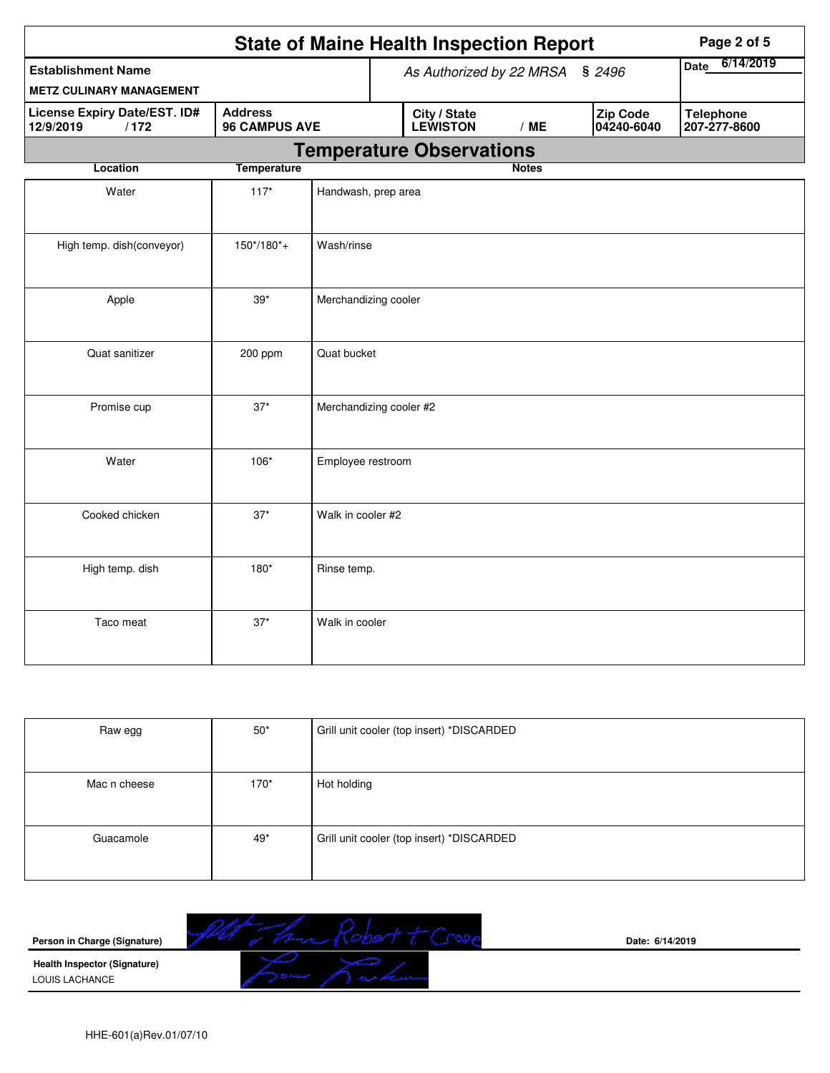| <b>State of Maine Health Inspection Report</b><br>Page 2 of 5 |                                        |                                    |                                                                         |                                 |              |                          |                                  |  |
|---------------------------------------------------------------|----------------------------------------|------------------------------------|-------------------------------------------------------------------------|---------------------------------|--------------|--------------------------|----------------------------------|--|
| <b>Establishment Name</b>                                     |                                        | As Authorized by 22 MRSA<br>\$2496 |                                                                         |                                 |              | 6/14/2019<br><b>Date</b> |                                  |  |
| <b>METZ CULINARY MANAGEMENT</b>                               |                                        |                                    |                                                                         |                                 |              |                          |                                  |  |
| <b>License Expiry Date/EST. ID#</b><br>12/9/2019<br>/172      | <b>Address</b><br><b>96 CAMPUS AVE</b> |                                    | <b>Zip Code</b><br>City / State<br><b>LEWISTON</b><br>/ME<br>04240-6040 |                                 |              |                          | <b>Telephone</b><br>207-277-8600 |  |
|                                                               |                                        |                                    |                                                                         | <b>Temperature Observations</b> |              |                          |                                  |  |
| <b>Location</b>                                               | <b>Temperature</b>                     |                                    |                                                                         |                                 | <b>Notes</b> |                          |                                  |  |
| Water                                                         | $117*$                                 | Handwash, prep area                |                                                                         |                                 |              |                          |                                  |  |
| High temp. dish(conveyor)                                     | $150*/180*$ +                          | Wash/rinse                         |                                                                         |                                 |              |                          |                                  |  |
| Apple                                                         | $39*$                                  | Merchandizing cooler               |                                                                         |                                 |              |                          |                                  |  |
| Quat sanitizer                                                | 200 ppm                                | Quat bucket                        |                                                                         |                                 |              |                          |                                  |  |
| Promise cup                                                   | $37*$                                  | Merchandizing cooler #2            |                                                                         |                                 |              |                          |                                  |  |
| Water                                                         | 106*                                   | Employee restroom                  |                                                                         |                                 |              |                          |                                  |  |
| Cooked chicken                                                | $37*$                                  | Walk in cooler #2                  |                                                                         |                                 |              |                          |                                  |  |
| High temp. dish                                               | $180*$                                 | Rinse temp.                        |                                                                         |                                 |              |                          |                                  |  |
| Taco meat                                                     | $37*$                                  | Walk in cooler                     |                                                                         |                                 |              |                          |                                  |  |

| Raw egg      | $50*$ | Grill unit cooler (top insert) *DISCARDED |
|--------------|-------|-------------------------------------------|
|              |       |                                           |
| Mac n cheese | 170*  | Hot holding                               |
|              |       |                                           |
| Guacamole    | $49*$ | Grill unit cooler (top insert) *DISCARDED |
|              |       |                                           |

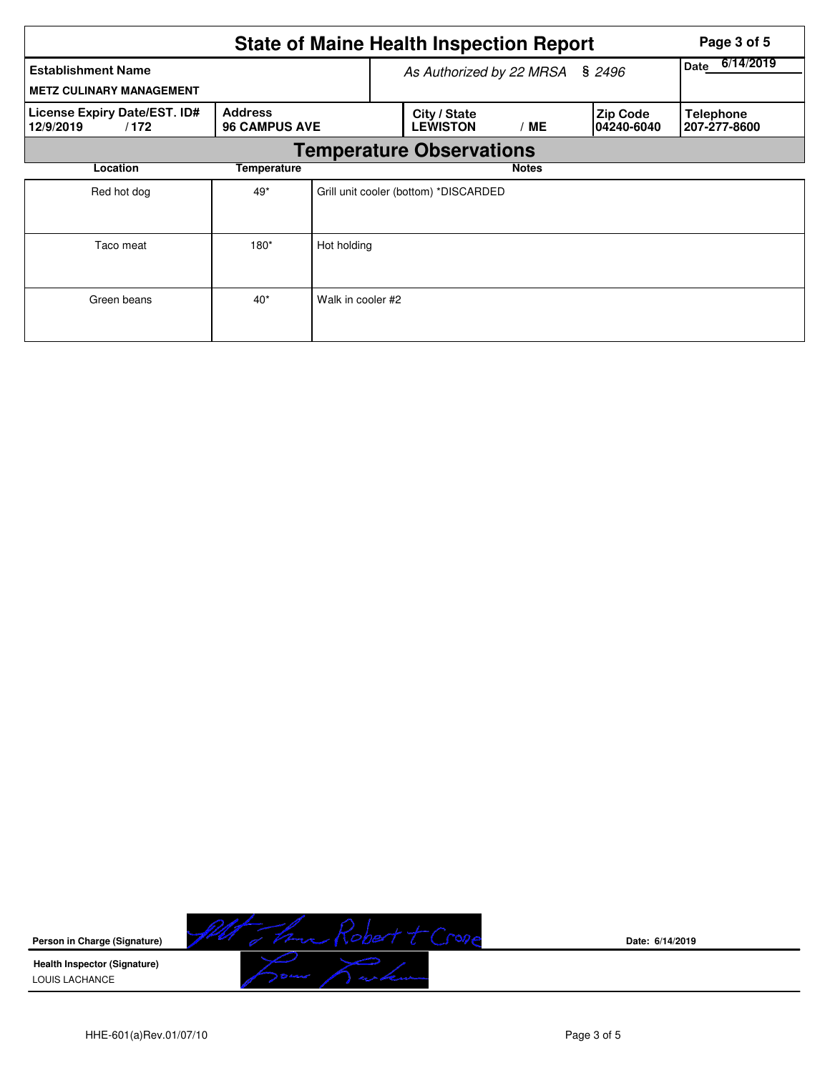| <b>State of Maine Health Inspection Report</b><br>Page 3 of 5 |                                        |                   |                                       |                   |                        |                                  |  |  |  |
|---------------------------------------------------------------|----------------------------------------|-------------------|---------------------------------------|-------------------|------------------------|----------------------------------|--|--|--|
| <b>Establishment Name</b><br><b>METZ CULINARY MANAGEMENT</b>  |                                        |                   | As Authorized by 22 MRSA              | 6/14/2019<br>Date |                        |                                  |  |  |  |
| License Expiry Date/EST. ID#<br>/172<br>12/9/2019             | <b>Address</b><br><b>96 CAMPUS AVE</b> |                   | City / State<br><b>LEWISTON</b>       | / ME              | Zip Code<br>04240-6040 | <b>Telephone</b><br>207-277-8600 |  |  |  |
|                                                               | <b>Temperature Observations</b>        |                   |                                       |                   |                        |                                  |  |  |  |
| Location                                                      | Temperature                            |                   |                                       | <b>Notes</b>      |                        |                                  |  |  |  |
| Red hot dog                                                   | 49*                                    |                   | Grill unit cooler (bottom) *DISCARDED |                   |                        |                                  |  |  |  |
| Taco meat                                                     | $180*$                                 | Hot holding       |                                       |                   |                        |                                  |  |  |  |
| Green beans                                                   | $40*$                                  | Walk in cooler #2 |                                       |                   |                        |                                  |  |  |  |



**Date: 6/14/2019**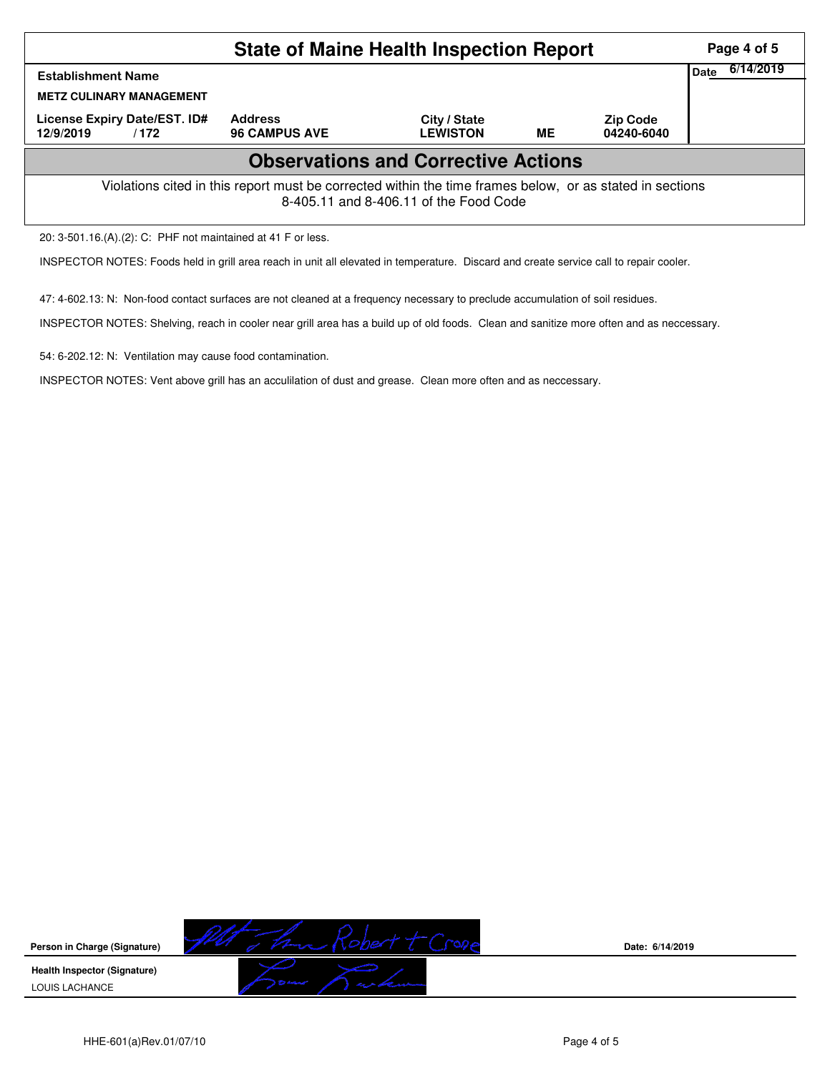| <b>State of Maine Health Inspection Report</b>                                                                                                     |                                        |                                 |           |                               |                          |  |  |
|----------------------------------------------------------------------------------------------------------------------------------------------------|----------------------------------------|---------------------------------|-----------|-------------------------------|--------------------------|--|--|
| <b>Establishment Name</b><br><b>METZ CULINARY MANAGEMENT</b>                                                                                       |                                        |                                 |           |                               | 6/14/2019<br><b>Date</b> |  |  |
| License Expiry Date/EST. ID#<br>12/9/2019<br>/172                                                                                                  | <b>Address</b><br><b>96 CAMPUS AVE</b> | City / State<br><b>LEWISTON</b> | <b>ME</b> | <b>Zip Code</b><br>04240-6040 |                          |  |  |
| <b>Observations and Corrective Actions</b>                                                                                                         |                                        |                                 |           |                               |                          |  |  |
| Violations cited in this report must be corrected within the time frames below, or as stated in sections<br>8-405.11 and 8-406.11 of the Food Code |                                        |                                 |           |                               |                          |  |  |
| 20: 3-501.16.(A).(2): C: PHF not maintained at 41 F or less.                                                                                       |                                        |                                 |           |                               |                          |  |  |

INSPECTOR NOTES: Foods held in grill area reach in unit all elevated in temperature. Discard and create service call to repair cooler.

47: 4-602.13: N: Non-food contact surfaces are not cleaned at a frequency necessary to preclude accumulation of soil residues.

INSPECTOR NOTES: Shelving, reach in cooler near grill area has a build up of old foods. Clean and sanitize more often and as neccessary.

54: 6-202.12: N: Ventilation may cause food contamination.

INSPECTOR NOTES: Vent above grill has an acculilation of dust and grease. Clean more often and as neccessary.



**Date: 6/14/2019**

HHE-601(a)Rev.01/07/10 **Page 4 of 5** Page 4 of 5